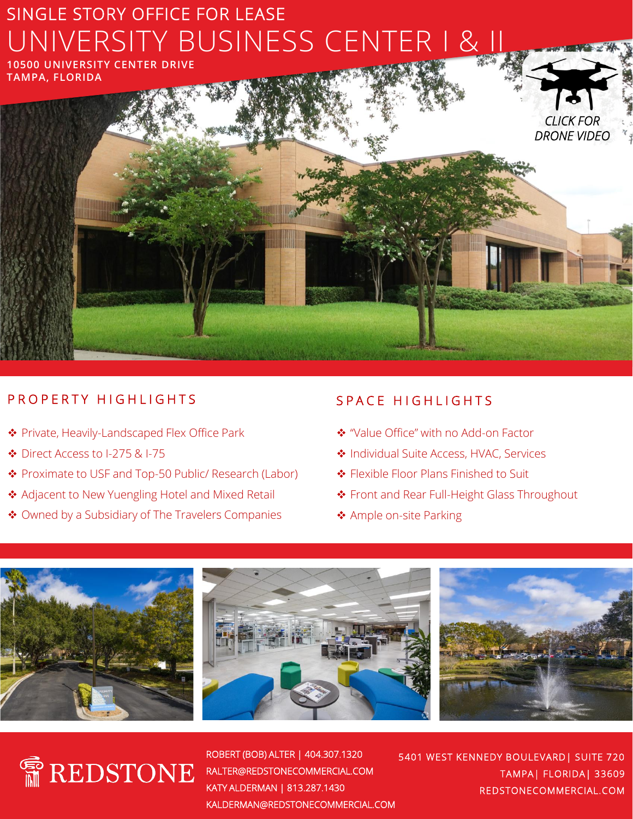# SINGLE STORY OFFICE FOR LEASE UNIVERSITY BUSINESS CENTER I & II

**10500 UNIVERSITY CENTER DRIVE TAMPA, FLORIDA**

# P R O P E R T Y H I G H L I G H T S

- ❖ Private, Heavily-Landscaped Flex Office Park
- ❖ Direct Access to I-275 & I-75
- ❖ Proximate to USF and Top-50 Public/ Research (Labor)
- ❖ Adjacent to New Yuengling Hotel and Mixed Retail
- ❖ Owned by a Subsidiary of The Travelers Companies

### S P A C E H I G H L I G H T S

- ❖ "Value Office" with no Add-on Factor
- ❖ Individual Suite Access, HVAC, Services
- ❖ Flexible Floor Plans Finished to Suit
- ❖ Front and Rear Full-Height Glass Throughout

*CLICK FOR [DRONE VIDEO](https://vimeo.com/434003912)*

❖ Ample on-site Parking





ROBERT (BOB) ALTER | 404.307.1320 RALTER@REDSTONECOMMERCIAL.COM KATY ALDERMAN | 813.287.1430 KALDERMAN@REDSTONECOMMERCIAL.COM

5401 WEST KENNEDY BOULEVARD| SUITE 720 TAMPA| FLORIDA| 33609 REDSTONECOMMERCIAL.COM